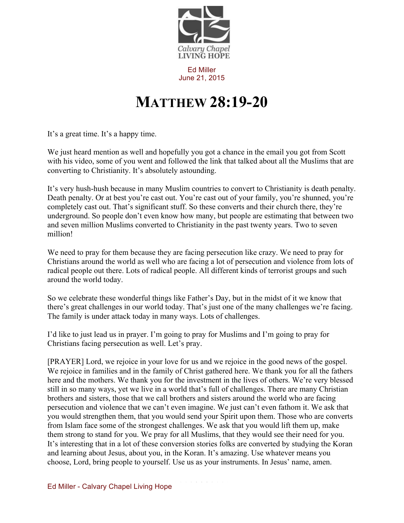

Ed Miller June 21, 2015

## **MATTHEW 28:19-20**

It's a great time. It's a happy time.

We just heard mention as well and hopefully you got a chance in the email you got from Scott with his video, some of you went and followed the link that talked about all the Muslims that are converting to Christianity. It's absolutely astounding.

It's very hush-hush because in many Muslim countries to convert to Christianity is death penalty. Death penalty. Or at best you're cast out. You're cast out of your family, you're shunned, you're completely cast out. That's significant stuff. So these converts and their church there, they're underground. So people don't even know how many, but people are estimating that between two and seven million Muslims converted to Christianity in the past twenty years. Two to seven million!

We need to pray for them because they are facing persecution like crazy. We need to pray for Christians around the world as well who are facing a lot of persecution and violence from lots of radical people out there. Lots of radical people. All different kinds of terrorist groups and such around the world today.

So we celebrate these wonderful things like Father's Day, but in the midst of it we know that there's great challenges in our world today. That's just one of the many challenges we're facing. The family is under attack today in many ways. Lots of challenges.

I'd like to just lead us in prayer. I'm going to pray for Muslims and I'm going to pray for Christians facing persecution as well. Let's pray.

[PRAYER] Lord, we rejoice in your love for us and we rejoice in the good news of the gospel. We rejoice in families and in the family of Christ gathered here. We thank you for all the fathers here and the mothers. We thank you for the investment in the lives of others. We're very blessed still in so many ways, yet we live in a world that's full of challenges. There are many Christian brothers and sisters, those that we call brothers and sisters around the world who are facing persecution and violence that we can't even imagine. We just can't even fathom it. We ask that you would strengthen them, that you would send your Spirit upon them. Those who are converts from Islam face some of the strongest challenges. We ask that you would lift them up, make them strong to stand for you. We pray for all Muslims, that they would see their need for you. It's interesting that in a lot of these conversion stories folks are converted by studying the Koran and learning about Jesus, about you, in the Koran. It's amazing. Use whatever means you choose, Lord, bring people to yourself. Use us as your instruments. In Jesus' name, amen.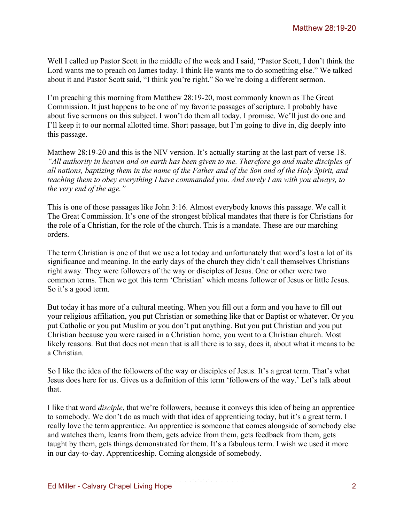Well I called up Pastor Scott in the middle of the week and I said, "Pastor Scott, I don't think the Lord wants me to preach on James today. I think He wants me to do something else." We talked about it and Pastor Scott said, "I think you're right." So we're doing a different sermon.

I'm preaching this morning from Matthew 28:19-20, most commonly known as The Great Commission. It just happens to be one of my favorite passages of scripture. I probably have about five sermons on this subject. I won't do them all today. I promise. We'll just do one and I'll keep it to our normal allotted time. Short passage, but I'm going to dive in, dig deeply into this passage.

Matthew 28:19-20 and this is the NIV version. It's actually starting at the last part of verse 18. *"All authority in heaven and on earth has been given to me. Therefore go and make disciples of all nations, baptizing them in the name of the Father and of the Son and of the Holy Spirit, and teaching them to obey everything I have commanded you. And surely I am with you always, to the very end of the age."*

This is one of those passages like John 3:16. Almost everybody knows this passage. We call it The Great Commission. It's one of the strongest biblical mandates that there is for Christians for the role of a Christian, for the role of the church. This is a mandate. These are our marching orders.

The term Christian is one of that we use a lot today and unfortunately that word's lost a lot of its significance and meaning. In the early days of the church they didn't call themselves Christians right away. They were followers of the way or disciples of Jesus. One or other were two common terms. Then we got this term 'Christian' which means follower of Jesus or little Jesus. So it's a good term.

But today it has more of a cultural meeting. When you fill out a form and you have to fill out your religious affiliation, you put Christian or something like that or Baptist or whatever. Or you put Catholic or you put Muslim or you don't put anything. But you put Christian and you put Christian because you were raised in a Christian home, you went to a Christian church. Most likely reasons. But that does not mean that is all there is to say, does it, about what it means to be a Christian.

So I like the idea of the followers of the way or disciples of Jesus. It's a great term. That's what Jesus does here for us. Gives us a definition of this term 'followers of the way.' Let's talk about that.

I like that word *disciple*, that we're followers, because it conveys this idea of being an apprentice to somebody. We don't do as much with that idea of apprenticing today, but it's a great term. I really love the term apprentice. An apprentice is someone that comes alongside of somebody else and watches them, learns from them, gets advice from them, gets feedback from them, gets taught by them, gets things demonstrated for them. It's a fabulous term. I wish we used it more in our day-to-day. Apprenticeship. Coming alongside of somebody.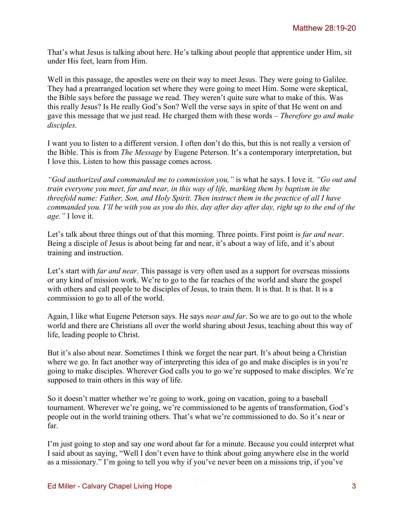That's what Jesus is talking about here. He's talking about people that apprentice under Him, sit under His feet, learn from Him.

Well in this passage, the apostles were on their way to meet Jesus. They were going to Galilee. They had a prearranged location set where they were going to meet Him. Some were skeptical, the Bible says before the passage we read. They weren't quite sure what to make of this. Was this really Jesus? Is He really God's Son? Well the verse says in spite of that He went on and gave this message that we just read. He charged them with these words – *Therefore go and make disciples.* 

I want you to listen to a different version. I often don't do this, but this is not really a version of the Bible. This is from *The Message* by Eugene Peterson. It's a contemporary interpretation, but I love this. Listen to how this passage comes across.

*"God authorized and commanded me to commission you,"* is what he says. I love it. *"Go out and train everyone you meet, far and near, in this way of life, marking them by baptism in the threefold name: Father, Son, and Holy Spirit. Then instruct them in the practice of all I have commanded you. I'll be with you as you do this, day after day after day, right up to the end of the age."* I love it.

Let's talk about three things out of that this morning. Three points. First point is *far and near*. Being a disciple of Jesus is about being far and near, it's about a way of life, and it's about training and instruction.

Let's start with *far and near*. This passage is very often used as a support for overseas missions or any kind of mission work. We're to go to the far reaches of the world and share the gospel with others and call people to be disciples of Jesus, to train them. It is that. It is that. It is a commission to go to all of the world.

Again, I like what Eugene Peterson says. He says *near and far*. So we are to go out to the whole world and there are Christians all over the world sharing about Jesus, teaching about this way of life, leading people to Christ.

But it's also about near. Sometimes I think we forget the near part. It's about being a Christian where we go. In fact another way of interpreting this idea of go and make disciples is in you're going to make disciples. Wherever God calls you to go we're supposed to make disciples. We're supposed to train others in this way of life.

So it doesn't matter whether we're going to work, going on vacation, going to a baseball tournament. Wherever we're going, we're commissioned to be agents of transformation, God's people out in the world training others. That's what we're commissioned to do. So it's near or far.

I'm just going to stop and say one word about far for a minute. Because you could interpret what I said about as saying, "Well I don't even have to think about going anywhere else in the world as a missionary." I'm going to tell you why if you've never been on a missions trip, if you've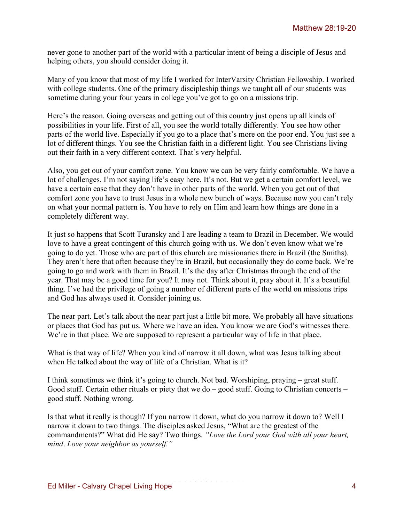never gone to another part of the world with a particular intent of being a disciple of Jesus and helping others, you should consider doing it.

Many of you know that most of my life I worked for InterVarsity Christian Fellowship. I worked with college students. One of the primary discipleship things we taught all of our students was sometime during your four years in college you've got to go on a missions trip.

Here's the reason. Going overseas and getting out of this country just opens up all kinds of possibilities in your life. First of all, you see the world totally differently. You see how other parts of the world live. Especially if you go to a place that's more on the poor end. You just see a lot of different things. You see the Christian faith in a different light. You see Christians living out their faith in a very different context. That's very helpful.

Also, you get out of your comfort zone. You know we can be very fairly comfortable. We have a lot of challenges. I'm not saying life's easy here. It's not. But we get a certain comfort level, we have a certain ease that they don't have in other parts of the world. When you get out of that comfort zone you have to trust Jesus in a whole new bunch of ways. Because now you can't rely on what your normal pattern is. You have to rely on Him and learn how things are done in a completely different way.

It just so happens that Scott Turansky and I are leading a team to Brazil in December. We would love to have a great contingent of this church going with us. We don't even know what we're going to do yet. Those who are part of this church are missionaries there in Brazil (the Smiths). They aren't here that often because they're in Brazil, but occasionally they do come back. We're going to go and work with them in Brazil. It's the day after Christmas through the end of the year. That may be a good time for you? It may not. Think about it, pray about it. It's a beautiful thing. I've had the privilege of going a number of different parts of the world on missions trips and God has always used it. Consider joining us.

The near part. Let's talk about the near part just a little bit more. We probably all have situations or places that God has put us. Where we have an idea. You know we are God's witnesses there. We're in that place. We are supposed to represent a particular way of life in that place.

What is that way of life? When you kind of narrow it all down, what was Jesus talking about when He talked about the way of life of a Christian. What is it?

I think sometimes we think it's going to church. Not bad. Worshiping, praying – great stuff. Good stuff. Certain other rituals or piety that we do – good stuff. Going to Christian concerts – good stuff. Nothing wrong.

Is that what it really is though? If you narrow it down, what do you narrow it down to? Well I narrow it down to two things. The disciples asked Jesus, "What are the greatest of the commandments?" What did He say? Two things. *"Love the Lord your God with all your heart, mind*. *Love your neighbor as yourself."*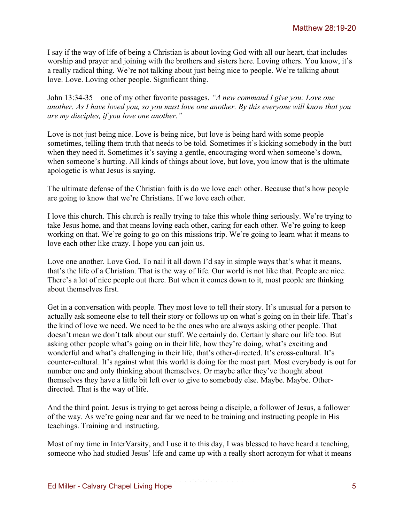I say if the way of life of being a Christian is about loving God with all our heart, that includes worship and prayer and joining with the brothers and sisters here. Loving others. You know, it's a really radical thing. We're not talking about just being nice to people. We're talking about love. Love. Loving other people. Significant thing.

John 13:34-35 – one of my other favorite passages. *"A new command I give you: Love one another. As I have loved you, so you must love one another. By this everyone will know that you are my disciples, if you love one another."*

Love is not just being nice. Love is being nice, but love is being hard with some people sometimes, telling them truth that needs to be told. Sometimes it's kicking somebody in the butt when they need it. Sometimes it's saying a gentle, encouraging word when someone's down, when someone's hurting. All kinds of things about love, but love, you know that is the ultimate apologetic is what Jesus is saying.

The ultimate defense of the Christian faith is do we love each other. Because that's how people are going to know that we're Christians. If we love each other.

I love this church. This church is really trying to take this whole thing seriously. We're trying to take Jesus home, and that means loving each other, caring for each other. We're going to keep working on that. We're going to go on this missions trip. We're going to learn what it means to love each other like crazy. I hope you can join us.

Love one another. Love God. To nail it all down I'd say in simple ways that's what it means, that's the life of a Christian. That is the way of life. Our world is not like that. People are nice. There's a lot of nice people out there. But when it comes down to it, most people are thinking about themselves first.

Get in a conversation with people. They most love to tell their story. It's unusual for a person to actually ask someone else to tell their story or follows up on what's going on in their life. That's the kind of love we need. We need to be the ones who are always asking other people. That doesn't mean we don't talk about our stuff. We certainly do. Certainly share our life too. But asking other people what's going on in their life, how they're doing, what's exciting and wonderful and what's challenging in their life, that's other-directed. It's cross-cultural. It's counter-cultural. It's against what this world is doing for the most part. Most everybody is out for number one and only thinking about themselves. Or maybe after they've thought about themselves they have a little bit left over to give to somebody else. Maybe. Maybe. Otherdirected. That is the way of life.

And the third point. Jesus is trying to get across being a disciple, a follower of Jesus, a follower of the way. As we're going near and far we need to be training and instructing people in His teachings. Training and instructing.

Most of my time in InterVarsity, and I use it to this day, I was blessed to have heard a teaching, someone who had studied Jesus' life and came up with a really short acronym for what it means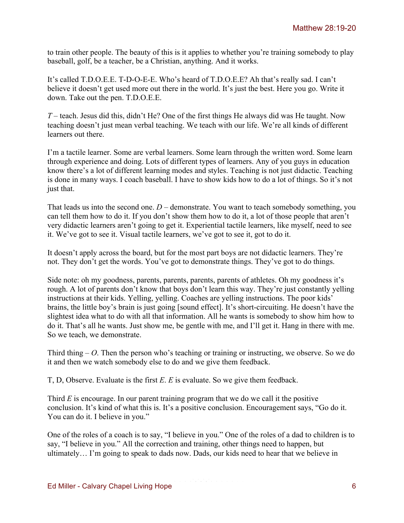to train other people. The beauty of this is it applies to whether you're training somebody to play baseball, golf, be a teacher, be a Christian, anything. And it works.

It's called T.D.O.E.E. T-D-O-E-E. Who's heard of T.D.O.E.E? Ah that's really sad. I can't believe it doesn't get used more out there in the world. It's just the best. Here you go. Write it down. Take out the pen. T.D.O.E.E.

*T* – teach. Jesus did this, didn't He? One of the first things He always did was He taught. Now teaching doesn't just mean verbal teaching. We teach with our life. We're all kinds of different learners out there.

I'm a tactile learner. Some are verbal learners. Some learn through the written word. Some learn through experience and doing. Lots of different types of learners. Any of you guys in education know there's a lot of different learning modes and styles. Teaching is not just didactic. Teaching is done in many ways. I coach baseball. I have to show kids how to do a lot of things. So it's not just that.

That leads us into the second one.  $D$  – demonstrate. You want to teach somebody something, you can tell them how to do it. If you don't show them how to do it, a lot of those people that aren't very didactic learners aren't going to get it. Experiential tactile learners, like myself, need to see it. We've got to see it. Visual tactile learners, we've got to see it, got to do it.

It doesn't apply across the board, but for the most part boys are not didactic learners. They're not. They don't get the words. You've got to demonstrate things. They've got to do things.

Side note: oh my goodness, parents, parents, parents, parents of athletes. Oh my goodness it's rough. A lot of parents don't know that boys don't learn this way. They're just constantly yelling instructions at their kids. Yelling, yelling. Coaches are yelling instructions. The poor kids' brains, the little boy's brain is just going [sound effect]. It's short-circuiting. He doesn't have the slightest idea what to do with all that information. All he wants is somebody to show him how to do it. That's all he wants. Just show me, be gentle with me, and I'll get it. Hang in there with me. So we teach, we demonstrate.

Third thing – *O*. Then the person who's teaching or training or instructing, we observe. So we do it and then we watch somebody else to do and we give them feedback.

T, D, Observe. Evaluate is the first *E*. *E* is evaluate. So we give them feedback.

Third *E* is encourage. In our parent training program that we do we call it the positive conclusion. It's kind of what this is. It's a positive conclusion. Encouragement says, "Go do it. You can do it. I believe in you."

One of the roles of a coach is to say, "I believe in you." One of the roles of a dad to children is to say, "I believe in you." All the correction and training, other things need to happen, but ultimately… I'm going to speak to dads now. Dads, our kids need to hear that we believe in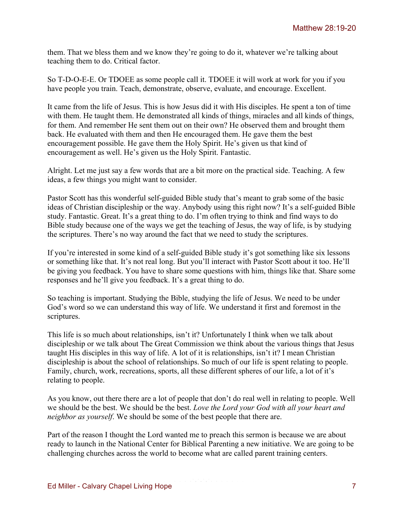them. That we bless them and we know they're going to do it, whatever we're talking about teaching them to do. Critical factor.

So T-D-O-E-E. Or TDOEE as some people call it. TDOEE it will work at work for you if you have people you train. Teach, demonstrate, observe, evaluate, and encourage. Excellent.

It came from the life of Jesus. This is how Jesus did it with His disciples. He spent a ton of time with them. He taught them. He demonstrated all kinds of things, miracles and all kinds of things, for them. And remember He sent them out on their own? He observed them and brought them back. He evaluated with them and then He encouraged them. He gave them the best encouragement possible. He gave them the Holy Spirit. He's given us that kind of encouragement as well. He's given us the Holy Spirit. Fantastic.

Alright. Let me just say a few words that are a bit more on the practical side. Teaching. A few ideas, a few things you might want to consider.

Pastor Scott has this wonderful self-guided Bible study that's meant to grab some of the basic ideas of Christian discipleship or the way. Anybody using this right now? It's a self-guided Bible study. Fantastic. Great. It's a great thing to do. I'm often trying to think and find ways to do Bible study because one of the ways we get the teaching of Jesus, the way of life, is by studying the scriptures. There's no way around the fact that we need to study the scriptures.

If you're interested in some kind of a self-guided Bible study it's got something like six lessons or something like that. It's not real long. But you'll interact with Pastor Scott about it too. He'll be giving you feedback. You have to share some questions with him, things like that. Share some responses and he'll give you feedback. It's a great thing to do.

So teaching is important. Studying the Bible, studying the life of Jesus. We need to be under God's word so we can understand this way of life. We understand it first and foremost in the scriptures.

This life is so much about relationships, isn't it? Unfortunately I think when we talk about discipleship or we talk about The Great Commission we think about the various things that Jesus taught His disciples in this way of life. A lot of it is relationships, isn't it? I mean Christian discipleship is about the school of relationships. So much of our life is spent relating to people. Family, church, work, recreations, sports, all these different spheres of our life, a lot of it's relating to people.

As you know, out there there are a lot of people that don't do real well in relating to people. Well we should be the best. We should be the best. *Love the Lord your God with all your heart and neighbor as yourself*. We should be some of the best people that there are.

Part of the reason I thought the Lord wanted me to preach this sermon is because we are about ready to launch in the National Center for Biblical Parenting a new initiative. We are going to be challenging churches across the world to become what are called parent training centers.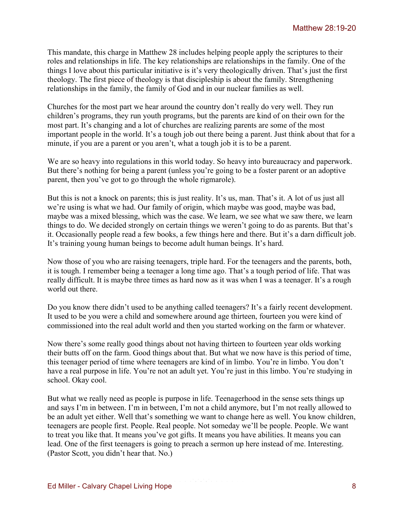This mandate, this charge in Matthew 28 includes helping people apply the scriptures to their roles and relationships in life. The key relationships are relationships in the family. One of the things I love about this particular initiative is it's very theologically driven. That's just the first theology. The first piece of theology is that discipleship is about the family. Strengthening relationships in the family, the family of God and in our nuclear families as well.

Churches for the most part we hear around the country don't really do very well. They run children's programs, they run youth programs, but the parents are kind of on their own for the most part. It's changing and a lot of churches are realizing parents are some of the most important people in the world. It's a tough job out there being a parent. Just think about that for a minute, if you are a parent or you aren't, what a tough job it is to be a parent.

We are so heavy into regulations in this world today. So heavy into bureaucracy and paperwork. But there's nothing for being a parent (unless you're going to be a foster parent or an adoptive parent, then you've got to go through the whole rigmarole).

But this is not a knock on parents; this is just reality. It's us, man. That's it. A lot of us just all we're using is what we had. Our family of origin, which maybe was good, maybe was bad, maybe was a mixed blessing, which was the case. We learn, we see what we saw there, we learn things to do. We decided strongly on certain things we weren't going to do as parents. But that's it. Occasionally people read a few books, a few things here and there. But it's a darn difficult job. It's training young human beings to become adult human beings. It's hard.

Now those of you who are raising teenagers, triple hard. For the teenagers and the parents, both, it is tough. I remember being a teenager a long time ago. That's a tough period of life. That was really difficult. It is maybe three times as hard now as it was when I was a teenager. It's a rough world out there.

Do you know there didn't used to be anything called teenagers? It's a fairly recent development. It used to be you were a child and somewhere around age thirteen, fourteen you were kind of commissioned into the real adult world and then you started working on the farm or whatever.

Now there's some really good things about not having thirteen to fourteen year olds working their butts off on the farm. Good things about that. But what we now have is this period of time, this teenager period of time where teenagers are kind of in limbo. You're in limbo. You don't have a real purpose in life. You're not an adult yet. You're just in this limbo. You're studying in school. Okay cool.

But what we really need as people is purpose in life. Teenagerhood in the sense sets things up and says I'm in between. I'm in between, I'm not a child anymore, but I'm not really allowed to be an adult yet either. Well that's something we want to change here as well. You know children, teenagers are people first. People. Real people. Not someday we'll be people. People. We want to treat you like that. It means you've got gifts. It means you have abilities. It means you can lead. One of the first teenagers is going to preach a sermon up here instead of me. Interesting. (Pastor Scott, you didn't hear that. No.)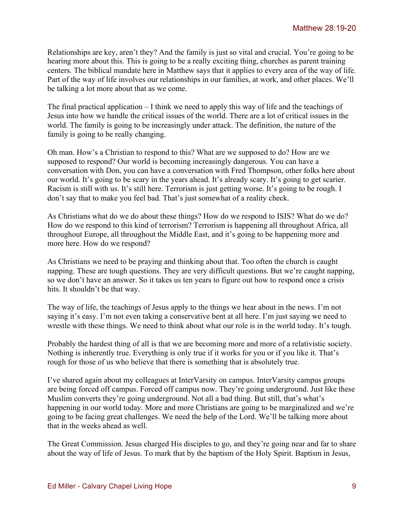Relationships are key, aren't they? And the family is just so vital and crucial. You're going to be hearing more about this. This is going to be a really exciting thing, churches as parent training centers. The biblical mandate here in Matthew says that it applies to every area of the way of life. Part of the way of life involves our relationships in our families, at work, and other places. We'll be talking a lot more about that as we come.

The final practical application – I think we need to apply this way of life and the teachings of Jesus into how we handle the critical issues of the world. There are a lot of critical issues in the world. The family is going to be increasingly under attack. The definition, the nature of the family is going to be really changing.

Oh man. How's a Christian to respond to this? What are we supposed to do? How are we supposed to respond? Our world is becoming increasingly dangerous. You can have a conversation with Don, you can have a conversation with Fred Thompson, other folks here about our world. It's going to be scary in the years ahead. It's already scary. It's going to get scarier. Racism is still with us. It's still here. Terrorism is just getting worse. It's going to be rough. I don't say that to make you feel bad. That's just somewhat of a reality check.

As Christians what do we do about these things? How do we respond to ISIS? What do we do? How do we respond to this kind of terrorism? Terrorism is happening all throughout Africa, all throughout Europe, all throughout the Middle East, and it's going to be happening more and more here. How do we respond?

As Christians we need to be praying and thinking about that. Too often the church is caught napping. These are tough questions. They are very difficult questions. But we're caught napping, so we don't have an answer. So it takes us ten years to figure out how to respond once a crisis hits. It shouldn't be that way.

The way of life, the teachings of Jesus apply to the things we hear about in the news. I'm not saying it's easy. I'm not even taking a conservative bent at all here. I'm just saying we need to wrestle with these things. We need to think about what our role is in the world today. It's tough.

Probably the hardest thing of all is that we are becoming more and more of a relativistic society. Nothing is inherently true. Everything is only true if it works for you or if you like it. That's rough for those of us who believe that there is something that is absolutely true.

I've shared again about my colleagues at InterVarsity on campus. InterVarsity campus groups are being forced off campus. Forced off campus now. They're going underground. Just like these Muslim converts they're going underground. Not all a bad thing. But still, that's what's happening in our world today. More and more Christians are going to be marginalized and we're going to be facing great challenges. We need the help of the Lord. We'll be talking more about that in the weeks ahead as well.

The Great Commission. Jesus charged His disciples to go, and they're going near and far to share about the way of life of Jesus. To mark that by the baptism of the Holy Spirit. Baptism in Jesus,